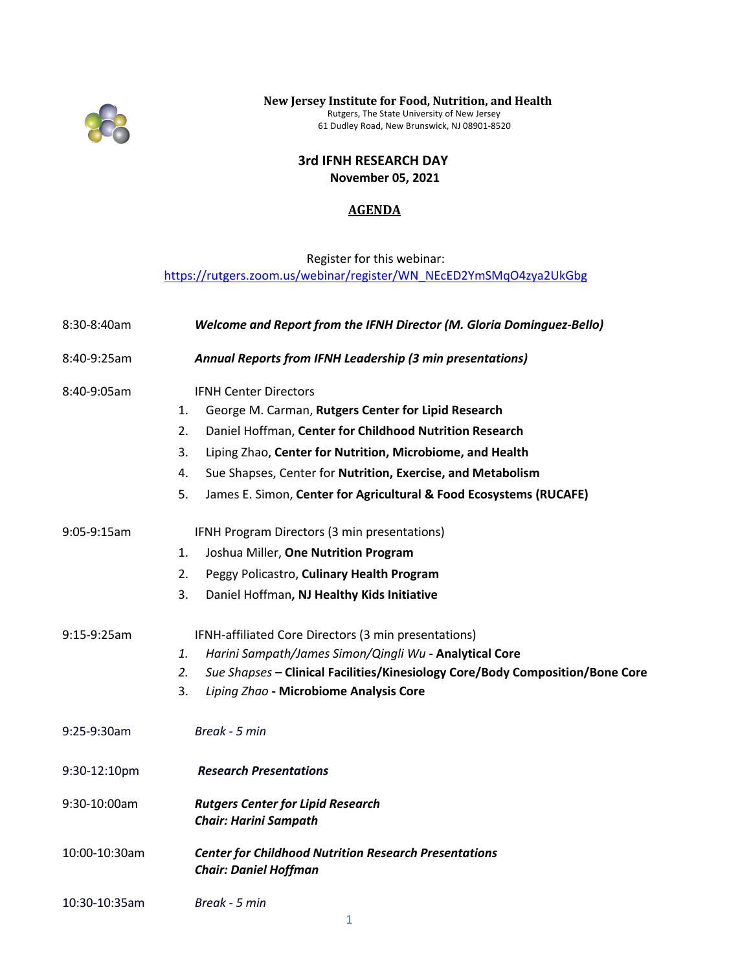

 **New Jersey Institute for Food, Nutrition, and Health** Rutgers, The State University of New Jersey 61 Dudley Road, New Brunswick, NJ 08901-8520

> **3rd IFNH RESEARCH DAY November 05, 2021**

## **AGENDA**

## Register for this webinar: [https://rutgers.zoom.us/webinar/register/WN\\_NEcED2YmSMqO4zya2UkGbg](https://rutgers.zoom.us/webinar/register/WN_NEcED2YmSMqO4zya2UkGbg)

| 8:30-8:40am   | Welcome and Report from the IFNH Director (M. Gloria Dominguez-Bello)                        |
|---------------|----------------------------------------------------------------------------------------------|
| 8:40-9:25am   | Annual Reports from IFNH Leadership (3 min presentations)                                    |
| 8:40-9:05am   | <b>IFNH Center Directors</b>                                                                 |
|               | George M. Carman, Rutgers Center for Lipid Research<br>1.                                    |
|               | 2.<br>Daniel Hoffman, Center for Childhood Nutrition Research                                |
|               | 3.<br>Liping Zhao, Center for Nutrition, Microbiome, and Health                              |
|               | Sue Shapses, Center for Nutrition, Exercise, and Metabolism<br>4.                            |
|               | James E. Simon, Center for Agricultural & Food Ecosystems (RUCAFE)<br>5.                     |
| 9:05-9:15am   | IFNH Program Directors (3 min presentations)                                                 |
|               | Joshua Miller, One Nutrition Program<br>1.                                                   |
|               | Peggy Policastro, Culinary Health Program<br>2.                                              |
|               | 3.<br>Daniel Hoffman, NJ Healthy Kids Initiative                                             |
| 9:15-9:25am   | IFNH-affiliated Core Directors (3 min presentations)                                         |
|               | Harini Sampath/James Simon/Qingli Wu - Analytical Core<br>1.                                 |
|               | 2.<br>Sue Shapses - Clinical Facilities/Kinesiology Core/Body Composition/Bone Core          |
|               | Liping Zhao - Microbiome Analysis Core<br>3.                                                 |
| 9:25-9:30am   | Break - 5 min                                                                                |
| 9:30-12:10pm  | <b>Research Presentations</b>                                                                |
| 9:30-10:00am  | <b>Rutgers Center for Lipid Research</b><br><b>Chair: Harini Sampath</b>                     |
| 10:00-10:30am | <b>Center for Childhood Nutrition Research Presentations</b><br><b>Chair: Daniel Hoffman</b> |
| 10:30-10:35am | Break - 5 min                                                                                |